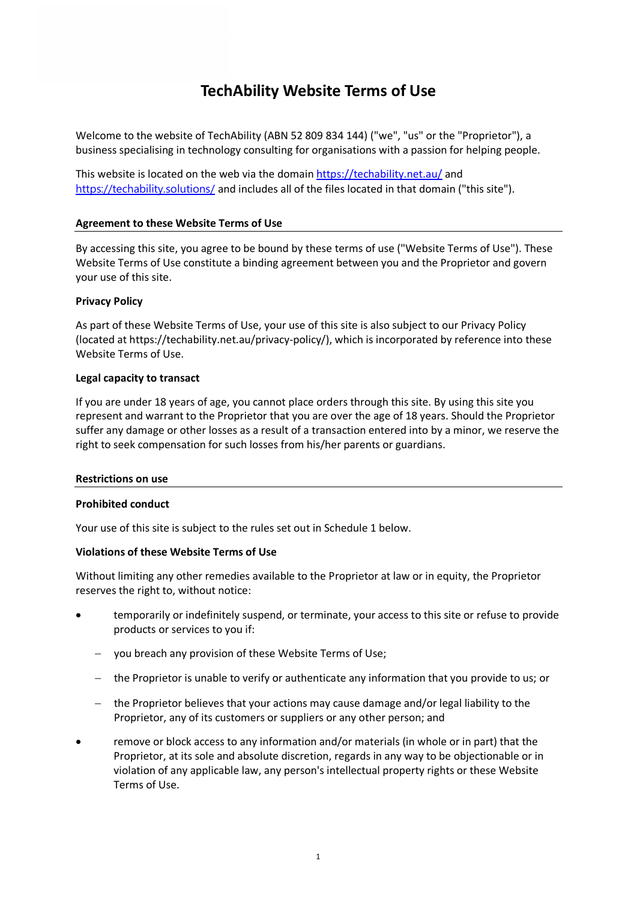# **TechAbility Website Terms of Use**

Welcome to the website of TechAbility (ABN 52 809 834 144) ("we", "us" or the "Proprietor"), a business specialising in technology consulting for organisations with a passion for helping people.

This website is located on the web via the domain<https://techability.net.au/> and <https://techability.solutions/> and includes all of the files located in that domain ("this site").

# **Agreement to these Website Terms of Use**

By accessing this site, you agree to be bound by these terms of use ("Website Terms of Use"). These Website Terms of Use constitute a binding agreement between you and the Proprietor and govern your use of this site.

# **Privacy Policy**

As part of these Website Terms of Use, your use of this site is also subject to our Privacy Policy (located at https://techability.net.au/privacy-policy/), which is incorporated by reference into these Website Terms of Use.

# **Legal capacity to transact**

If you are under 18 years of age, you cannot place orders through this site. By using this site you represent and warrant to the Proprietor that you are over the age of 18 years. Should the Proprietor suffer any damage or other losses as a result of a transaction entered into by a minor, we reserve the right to seek compensation for such losses from his/her parents or guardians.

# **Restrictions on use**

# **Prohibited conduct**

Your use of this site is subject to the rules set out in Schedule 1 below.

# **Violations of these Website Terms of Use**

Without limiting any other remedies available to the Proprietor at law or in equity, the Proprietor reserves the right to, without notice:

- temporarily or indefinitely suspend, or terminate, your access to this site or refuse to provide products or services to you if:
	- − you breach any provision of these Website Terms of Use;
	- − the Proprietor is unable to verify or authenticate any information that you provide to us; or
	- − the Proprietor believes that your actions may cause damage and/or legal liability to the Proprietor, any of its customers or suppliers or any other person; and
- remove or block access to any information and/or materials (in whole or in part) that the Proprietor, at its sole and absolute discretion, regards in any way to be objectionable or in violation of any applicable law, any person's intellectual property rights or these Website Terms of Use.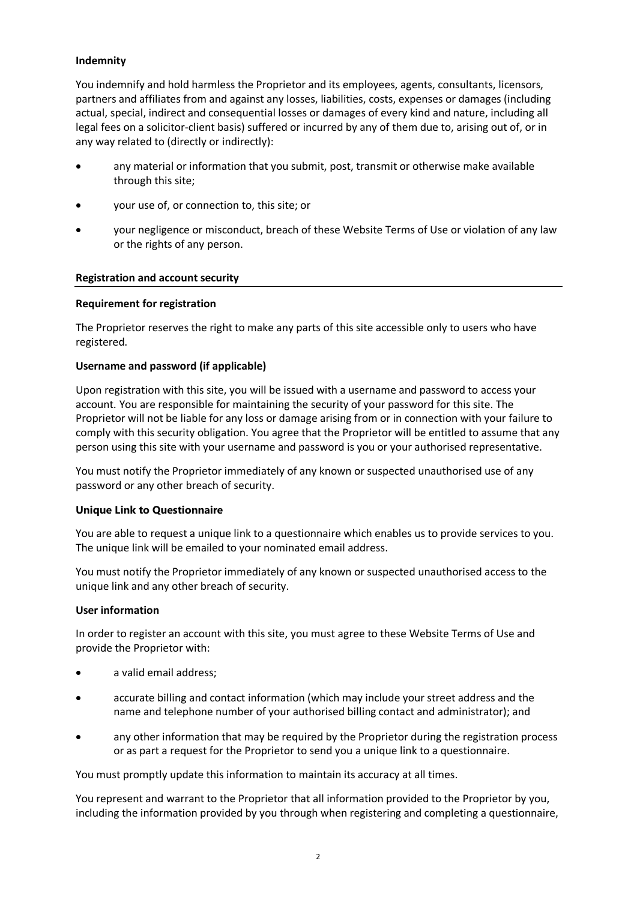# **Indemnity**

You indemnify and hold harmless the Proprietor and its employees, agents, consultants, licensors, partners and affiliates from and against any losses, liabilities, costs, expenses or damages (including actual, special, indirect and consequential losses or damages of every kind and nature, including all legal fees on a solicitor-client basis) suffered or incurred by any of them due to, arising out of, or in any way related to (directly or indirectly):

- any material or information that you submit, post, transmit or otherwise make available through this site;
- your use of, or connection to, this site; or
- your negligence or misconduct, breach of these Website Terms of Use or violation of any law or the rights of any person.

# **Registration and account security**

#### **Requirement for registration**

The Proprietor reserves the right to make any parts of this site accessible only to users who have registered.

#### **Username and password (if applicable)**

Upon registration with this site, you will be issued with a username and password to access your account. You are responsible for maintaining the security of your password for this site. The Proprietor will not be liable for any loss or damage arising from or in connection with your failure to comply with this security obligation. You agree that the Proprietor will be entitled to assume that any person using this site with your username and password is you or your authorised representative.

You must notify the Proprietor immediately of any known or suspected unauthorised use of any password or any other breach of security.

# **Unique Link to Questionnaire**

You are able to request a unique link to a questionnaire which enables us to provide services to you. The unique link will be emailed to your nominated email address.

You must notify the Proprietor immediately of any known or suspected unauthorised access to the unique link and any other breach of security.

#### **User information**

In order to register an account with this site, you must agree to these Website Terms of Use and provide the Proprietor with:

- a valid email address;
- accurate billing and contact information (which may include your street address and the name and telephone number of your authorised billing contact and administrator); and
- any other information that may be required by the Proprietor during the registration process or as part a request for the Proprietor to send you a unique link to a questionnaire.

You must promptly update this information to maintain its accuracy at all times.

You represent and warrant to the Proprietor that all information provided to the Proprietor by you, including the information provided by you through when registering and completing a questionnaire,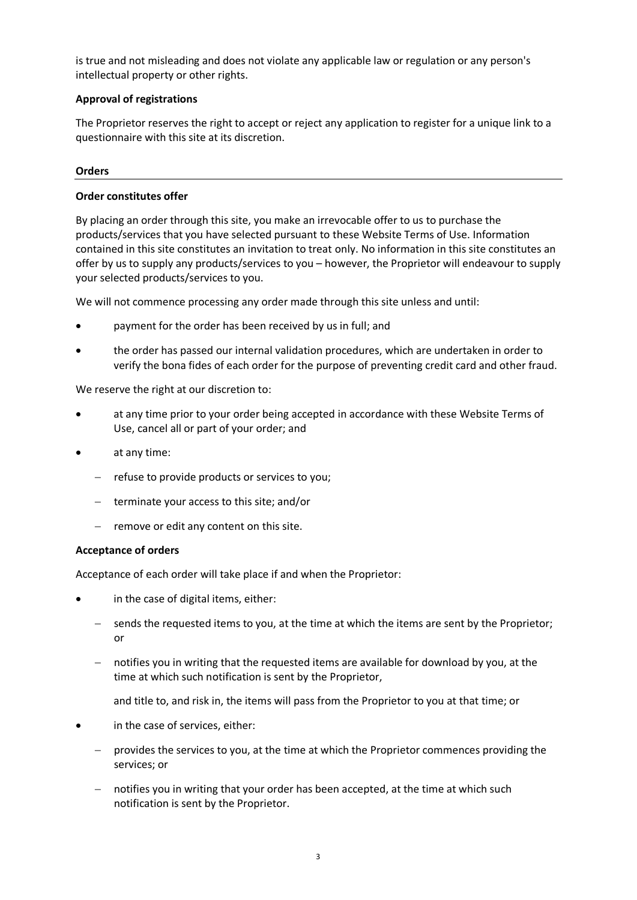is true and not misleading and does not violate any applicable law or regulation or any person's intellectual property or other rights.

# **Approval of registrations**

The Proprietor reserves the right to accept or reject any application to register for a unique link to a questionnaire with this site at its discretion.

# **Orders**

# **Order constitutes offer**

By placing an order through this site, you make an irrevocable offer to us to purchase the products/services that you have selected pursuant to these Website Terms of Use. Information contained in this site constitutes an invitation to treat only. No information in this site constitutes an offer by us to supply any products/services to you – however, the Proprietor will endeavour to supply your selected products/services to you.

We will not commence processing any order made through this site unless and until:

- payment for the order has been received by us in full; and
- the order has passed our internal validation procedures, which are undertaken in order to verify the bona fides of each order for the purpose of preventing credit card and other fraud.

We reserve the right at our discretion to:

- at any time prior to your order being accepted in accordance with these Website Terms of Use, cancel all or part of your order; and
- at any time:
	- − refuse to provide products or services to you;
	- − terminate your access to this site; and/or
	- − remove or edit any content on this site.

# **Acceptance of orders**

Acceptance of each order will take place if and when the Proprietor:

- in the case of digital items, either:
	- − sends the requested items to you, at the time at which the items are sent by the Proprietor; or
	- − notifies you in writing that the requested items are available for download by you, at the time at which such notification is sent by the Proprietor,
		- and title to, and risk in, the items will pass from the Proprietor to you at that time; or
- in the case of services, either:
	- − provides the services to you, at the time at which the Proprietor commences providing the services; or
	- − notifies you in writing that your order has been accepted, at the time at which such notification is sent by the Proprietor.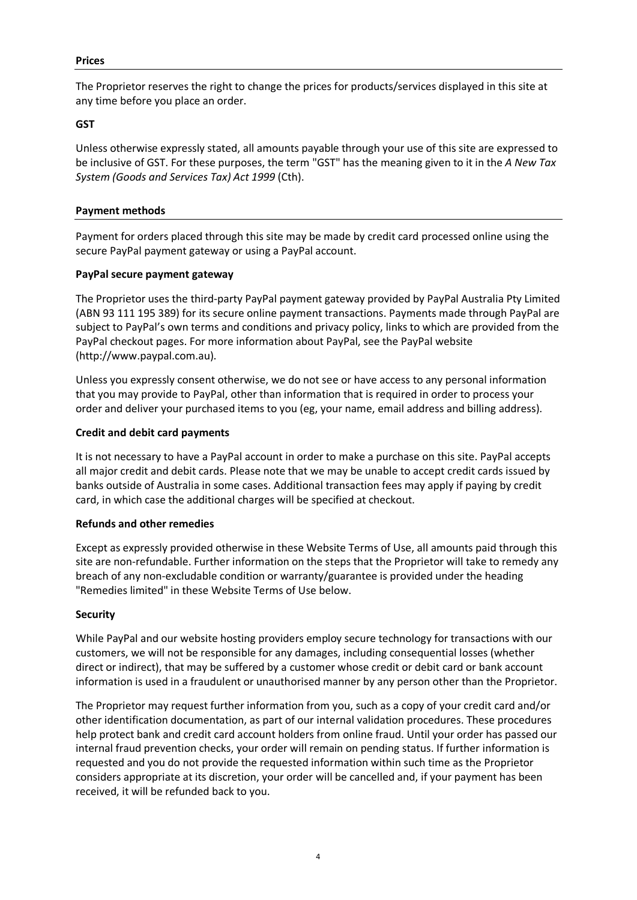The Proprietor reserves the right to change the prices for products/services displayed in this site at any time before you place an order.

#### **GST**

Unless otherwise expressly stated, all amounts payable through your use of this site are expressed to be inclusive of GST. For these purposes, the term "GST" has the meaning given to it in the *A New Tax System (Goods and Services Tax) Act 1999* (Cth).

#### **Payment methods**

Payment for orders placed through this site may be made by credit card processed online using the secure PayPal payment gateway or using a PayPal account.

#### **PayPal secure payment gateway**

The Proprietor uses the third-party PayPal payment gateway provided by PayPal Australia Pty Limited (ABN 93 111 195 389) for its secure online payment transactions. Payments made through PayPal are subject to PayPal's own terms and conditions and privacy policy, links to which are provided from the PayPal checkout pages. For more information about PayPal, see the PayPal website (http://www.paypal.com.au).

Unless you expressly consent otherwise, we do not see or have access to any personal information that you may provide to PayPal, other than information that is required in order to process your order and deliver your purchased items to you (eg, your name, email address and billing address).

#### **Credit and debit card payments**

It is not necessary to have a PayPal account in order to make a purchase on this site. PayPal accepts all major credit and debit cards. Please note that we may be unable to accept credit cards issued by banks outside of Australia in some cases. Additional transaction fees may apply if paying by credit card, in which case the additional charges will be specified at checkout.

#### **Refunds and other remedies**

Except as expressly provided otherwise in these Website Terms of Use, all amounts paid through this site are non-refundable. Further information on the steps that the Proprietor will take to remedy any breach of any non-excludable condition or warranty/guarantee is provided under the heading "Remedies limited" in these Website Terms of Use below.

#### **Security**

While PayPal and our website hosting providers employ secure technology for transactions with our customers, we will not be responsible for any damages, including consequential losses (whether direct or indirect), that may be suffered by a customer whose credit or debit card or bank account information is used in a fraudulent or unauthorised manner by any person other than the Proprietor.

The Proprietor may request further information from you, such as a copy of your credit card and/or other identification documentation, as part of our internal validation procedures. These procedures help protect bank and credit card account holders from online fraud. Until your order has passed our internal fraud prevention checks, your order will remain on pending status. If further information is requested and you do not provide the requested information within such time as the Proprietor considers appropriate at its discretion, your order will be cancelled and, if your payment has been received, it will be refunded back to you.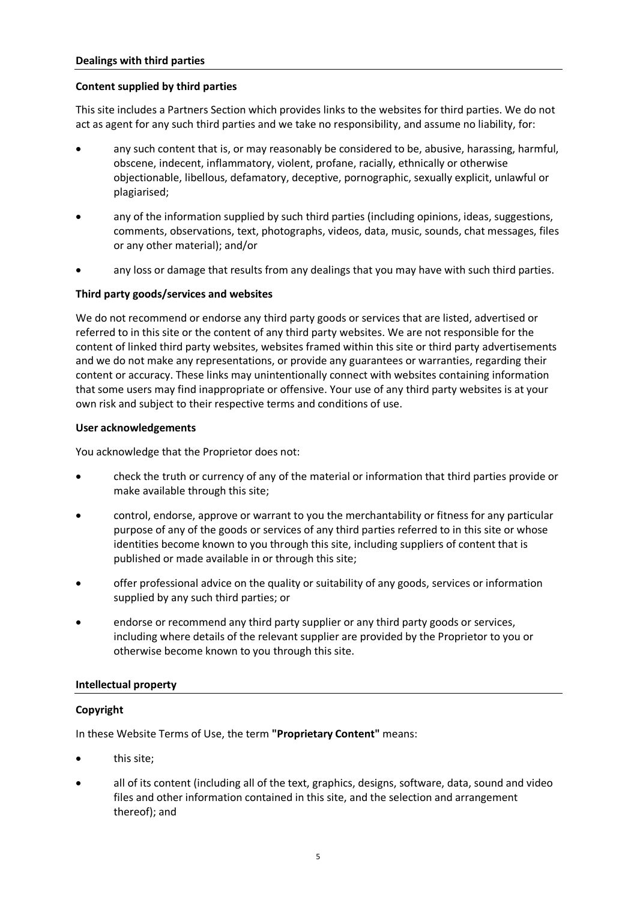# **Content supplied by third parties**

This site includes a Partners Section which provides links to the websites for third parties. We do not act as agent for any such third parties and we take no responsibility, and assume no liability, for:

- any such content that is, or may reasonably be considered to be, abusive, harassing, harmful, obscene, indecent, inflammatory, violent, profane, racially, ethnically or otherwise objectionable, libellous, defamatory, deceptive, pornographic, sexually explicit, unlawful or plagiarised;
- any of the information supplied by such third parties (including opinions, ideas, suggestions, comments, observations, text, photographs, videos, data, music, sounds, chat messages, files or any other material); and/or
- any loss or damage that results from any dealings that you may have with such third parties.

# **Third party goods/services and websites**

We do not recommend or endorse any third party goods or services that are listed, advertised or referred to in this site or the content of any third party websites. We are not responsible for the content of linked third party websites, websites framed within this site or third party advertisements and we do not make any representations, or provide any guarantees or warranties, regarding their content or accuracy. These links may unintentionally connect with websites containing information that some users may find inappropriate or offensive. Your use of any third party websites is at your own risk and subject to their respective terms and conditions of use.

# **User acknowledgements**

You acknowledge that the Proprietor does not:

- check the truth or currency of any of the material or information that third parties provide or make available through this site;
- control, endorse, approve or warrant to you the merchantability or fitness for any particular purpose of any of the goods or services of any third parties referred to in this site or whose identities become known to you through this site, including suppliers of content that is published or made available in or through this site;
- offer professional advice on the quality or suitability of any goods, services or information supplied by any such third parties; or
- endorse or recommend any third party supplier or any third party goods or services, including where details of the relevant supplier are provided by the Proprietor to you or otherwise become known to you through this site.

# **Intellectual property**

# **Copyright**

In these Website Terms of Use, the term **"Proprietary Content"** means:

- this site:
- all of its content (including all of the text, graphics, designs, software, data, sound and video files and other information contained in this site, and the selection and arrangement thereof); and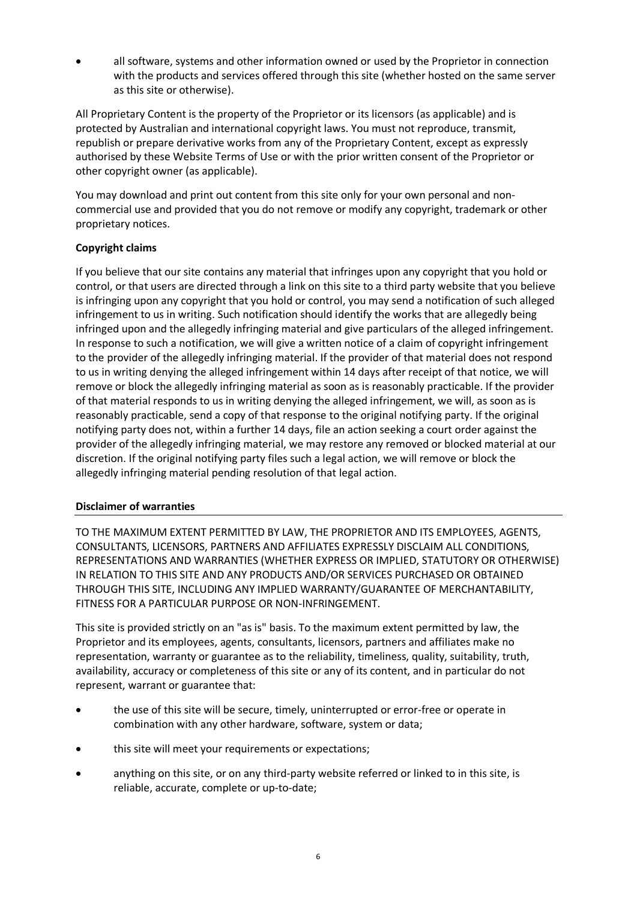• all software, systems and other information owned or used by the Proprietor in connection with the products and services offered through this site (whether hosted on the same server as this site or otherwise).

All Proprietary Content is the property of the Proprietor or its licensors (as applicable) and is protected by Australian and international copyright laws. You must not reproduce, transmit, republish or prepare derivative works from any of the Proprietary Content, except as expressly authorised by these Website Terms of Use or with the prior written consent of the Proprietor or other copyright owner (as applicable).

You may download and print out content from this site only for your own personal and noncommercial use and provided that you do not remove or modify any copyright, trademark or other proprietary notices.

# **Copyright claims**

If you believe that our site contains any material that infringes upon any copyright that you hold or control, or that users are directed through a link on this site to a third party website that you believe is infringing upon any copyright that you hold or control, you may send a notification of such alleged infringement to us in writing. Such notification should identify the works that are allegedly being infringed upon and the allegedly infringing material and give particulars of the alleged infringement. In response to such a notification, we will give a written notice of a claim of copyright infringement to the provider of the allegedly infringing material. If the provider of that material does not respond to us in writing denying the alleged infringement within 14 days after receipt of that notice, we will remove or block the allegedly infringing material as soon as is reasonably practicable. If the provider of that material responds to us in writing denying the alleged infringement, we will, as soon as is reasonably practicable, send a copy of that response to the original notifying party. If the original notifying party does not, within a further 14 days, file an action seeking a court order against the provider of the allegedly infringing material, we may restore any removed or blocked material at our discretion. If the original notifying party files such a legal action, we will remove or block the allegedly infringing material pending resolution of that legal action.

# **Disclaimer of warranties**

TO THE MAXIMUM EXTENT PERMITTED BY LAW, THE PROPRIETOR AND ITS EMPLOYEES, AGENTS, CONSULTANTS, LICENSORS, PARTNERS AND AFFILIATES EXPRESSLY DISCLAIM ALL CONDITIONS, REPRESENTATIONS AND WARRANTIES (WHETHER EXPRESS OR IMPLIED, STATUTORY OR OTHERWISE) IN RELATION TO THIS SITE AND ANY PRODUCTS AND/OR SERVICES PURCHASED OR OBTAINED THROUGH THIS SITE, INCLUDING ANY IMPLIED WARRANTY/GUARANTEE OF MERCHANTABILITY, FITNESS FOR A PARTICULAR PURPOSE OR NON-INFRINGEMENT.

This site is provided strictly on an "as is" basis. To the maximum extent permitted by law, the Proprietor and its employees, agents, consultants, licensors, partners and affiliates make no representation, warranty or guarantee as to the reliability, timeliness, quality, suitability, truth, availability, accuracy or completeness of this site or any of its content, and in particular do not represent, warrant or guarantee that:

- the use of this site will be secure, timely, uninterrupted or error-free or operate in combination with any other hardware, software, system or data;
- this site will meet your requirements or expectations;
- anything on this site, or on any third-party website referred or linked to in this site, is reliable, accurate, complete or up-to-date;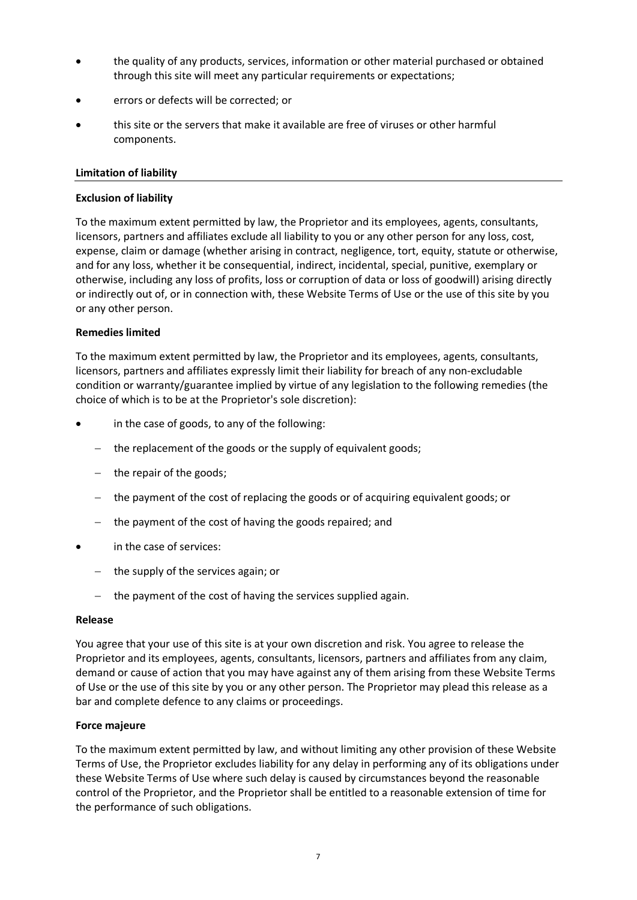- the quality of any products, services, information or other material purchased or obtained through this site will meet any particular requirements or expectations;
- errors or defects will be corrected; or
- this site or the servers that make it available are free of viruses or other harmful components.

# **Limitation of liability**

# **Exclusion of liability**

To the maximum extent permitted by law, the Proprietor and its employees, agents, consultants, licensors, partners and affiliates exclude all liability to you or any other person for any loss, cost, expense, claim or damage (whether arising in contract, negligence, tort, equity, statute or otherwise, and for any loss, whether it be consequential, indirect, incidental, special, punitive, exemplary or otherwise, including any loss of profits, loss or corruption of data or loss of goodwill) arising directly or indirectly out of, or in connection with, these Website Terms of Use or the use of this site by you or any other person.

# **Remedies limited**

To the maximum extent permitted by law, the Proprietor and its employees, agents, consultants, licensors, partners and affiliates expressly limit their liability for breach of any non-excludable condition or warranty/guarantee implied by virtue of any legislation to the following remedies (the choice of which is to be at the Proprietor's sole discretion):

- in the case of goods, to any of the following:
	- − the replacement of the goods or the supply of equivalent goods;
	- − the repair of the goods;
	- − the payment of the cost of replacing the goods or of acquiring equivalent goods; or
	- − the payment of the cost of having the goods repaired; and
- in the case of services:
	- − the supply of the services again; or
	- − the payment of the cost of having the services supplied again.

#### **Release**

You agree that your use of this site is at your own discretion and risk. You agree to release the Proprietor and its employees, agents, consultants, licensors, partners and affiliates from any claim, demand or cause of action that you may have against any of them arising from these Website Terms of Use or the use of this site by you or any other person. The Proprietor may plead this release as a bar and complete defence to any claims or proceedings.

# **Force majeure**

To the maximum extent permitted by law, and without limiting any other provision of these Website Terms of Use, the Proprietor excludes liability for any delay in performing any of its obligations under these Website Terms of Use where such delay is caused by circumstances beyond the reasonable control of the Proprietor, and the Proprietor shall be entitled to a reasonable extension of time for the performance of such obligations.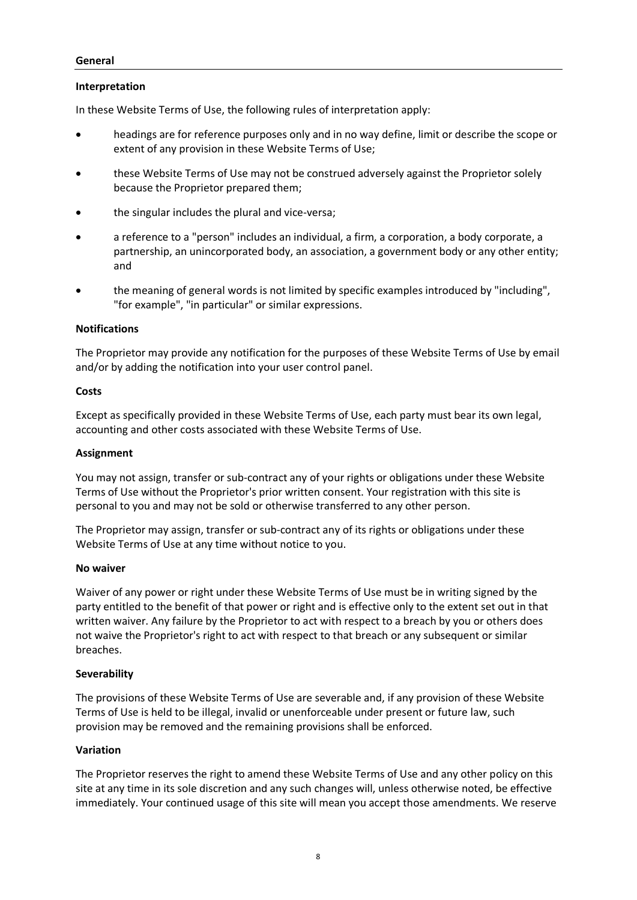# **Interpretation**

In these Website Terms of Use, the following rules of interpretation apply:

- headings are for reference purposes only and in no way define, limit or describe the scope or extent of any provision in these Website Terms of Use;
- these Website Terms of Use may not be construed adversely against the Proprietor solely because the Proprietor prepared them;
- the singular includes the plural and vice-versa;
- a reference to a "person" includes an individual, a firm, a corporation, a body corporate, a partnership, an unincorporated body, an association, a government body or any other entity; and
- the meaning of general words is not limited by specific examples introduced by "including", "for example", "in particular" or similar expressions.

# **Notifications**

The Proprietor may provide any notification for the purposes of these Website Terms of Use by email and/or by adding the notification into your user control panel.

# **Costs**

Except as specifically provided in these Website Terms of Use, each party must bear its own legal, accounting and other costs associated with these Website Terms of Use.

# **Assignment**

You may not assign, transfer or sub-contract any of your rights or obligations under these Website Terms of Use without the Proprietor's prior written consent. Your registration with this site is personal to you and may not be sold or otherwise transferred to any other person.

The Proprietor may assign, transfer or sub-contract any of its rights or obligations under these Website Terms of Use at any time without notice to you.

#### **No waiver**

Waiver of any power or right under these Website Terms of Use must be in writing signed by the party entitled to the benefit of that power or right and is effective only to the extent set out in that written waiver. Any failure by the Proprietor to act with respect to a breach by you or others does not waive the Proprietor's right to act with respect to that breach or any subsequent or similar breaches.

# **Severability**

The provisions of these Website Terms of Use are severable and, if any provision of these Website Terms of Use is held to be illegal, invalid or unenforceable under present or future law, such provision may be removed and the remaining provisions shall be enforced.

# **Variation**

The Proprietor reserves the right to amend these Website Terms of Use and any other policy on this site at any time in its sole discretion and any such changes will, unless otherwise noted, be effective immediately. Your continued usage of this site will mean you accept those amendments. We reserve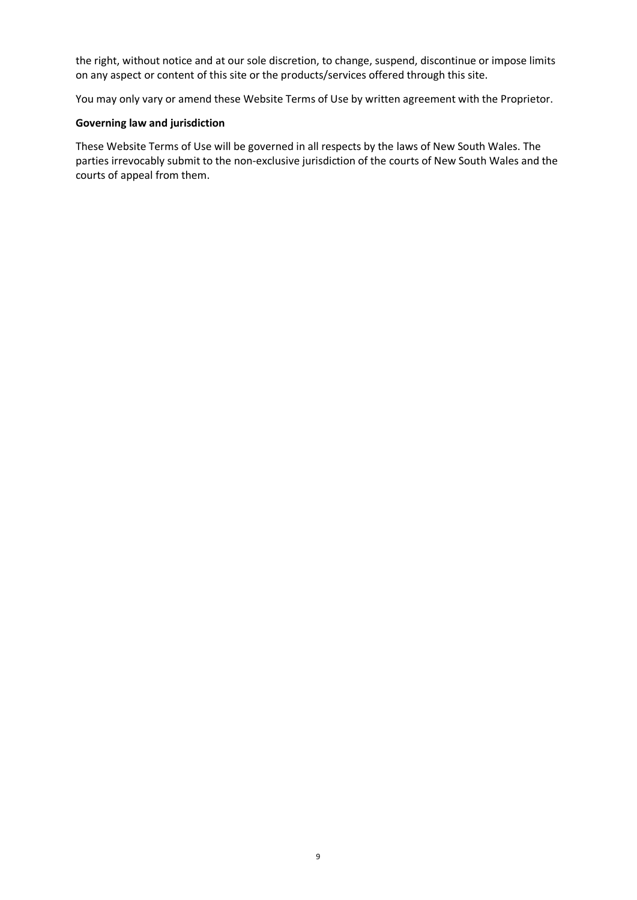the right, without notice and at our sole discretion, to change, suspend, discontinue or impose limits on any aspect or content of this site or the products/services offered through this site.

You may only vary or amend these Website Terms of Use by written agreement with the Proprietor.

# **Governing law and jurisdiction**

These Website Terms of Use will be governed in all respects by the laws of New South Wales. The parties irrevocably submit to the non-exclusive jurisdiction of the courts of New South Wales and the courts of appeal from them.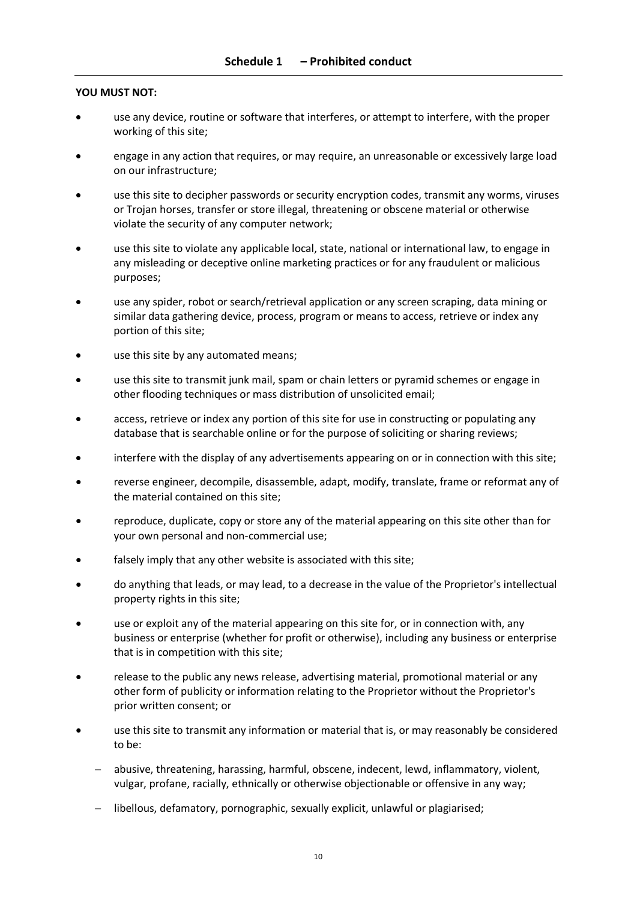# **YOU MUST NOT:**

- use any device, routine or software that interferes, or attempt to interfere, with the proper working of this site;
- engage in any action that requires, or may require, an unreasonable or excessively large load on our infrastructure;
- use this site to decipher passwords or security encryption codes, transmit any worms, viruses or Trojan horses, transfer or store illegal, threatening or obscene material or otherwise violate the security of any computer network;
- use this site to violate any applicable local, state, national or international law, to engage in any misleading or deceptive online marketing practices or for any fraudulent or malicious purposes;
- use any spider, robot or search/retrieval application or any screen scraping, data mining or similar data gathering device, process, program or means to access, retrieve or index any portion of this site;
- use this site by any automated means;
- use this site to transmit junk mail, spam or chain letters or pyramid schemes or engage in other flooding techniques or mass distribution of unsolicited email;
- access, retrieve or index any portion of this site for use in constructing or populating any database that is searchable online or for the purpose of soliciting or sharing reviews;
- interfere with the display of any advertisements appearing on or in connection with this site;
- reverse engineer, decompile, disassemble, adapt, modify, translate, frame or reformat any of the material contained on this site;
- reproduce, duplicate, copy or store any of the material appearing on this site other than for your own personal and non-commercial use;
- falsely imply that any other website is associated with this site;
- do anything that leads, or may lead, to a decrease in the value of the Proprietor's intellectual property rights in this site;
- use or exploit any of the material appearing on this site for, or in connection with, any business or enterprise (whether for profit or otherwise), including any business or enterprise that is in competition with this site;
- release to the public any news release, advertising material, promotional material or any other form of publicity or information relating to the Proprietor without the Proprietor's prior written consent; or
- use this site to transmit any information or material that is, or may reasonably be considered to be:
	- − abusive, threatening, harassing, harmful, obscene, indecent, lewd, inflammatory, violent, vulgar, profane, racially, ethnically or otherwise objectionable or offensive in any way;
	- − libellous, defamatory, pornographic, sexually explicit, unlawful or plagiarised;